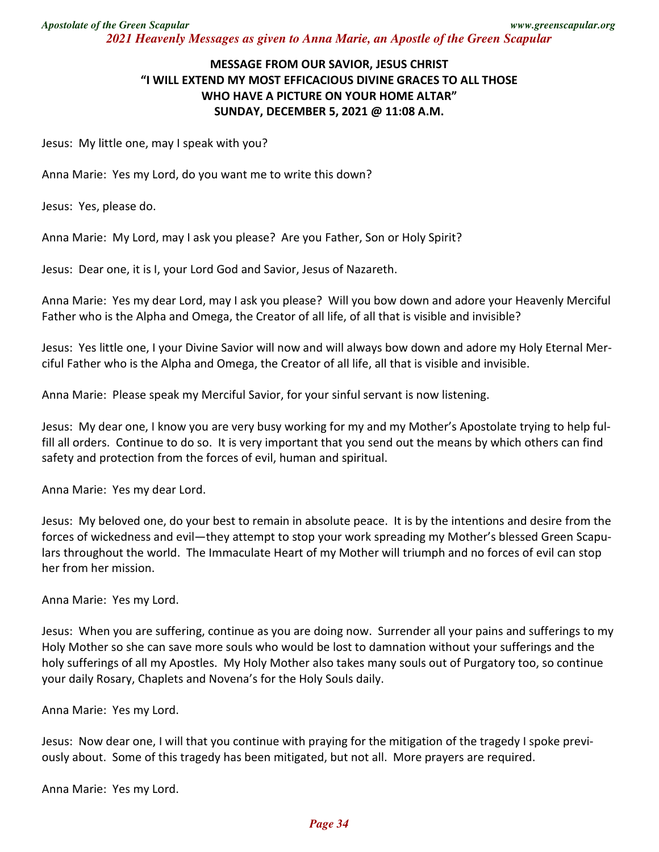## **MESSAGE FROM OUR SAVIOR, JESUS CHRIST "I WILL EXTEND MY MOST EFFICACIOUS DIVINE GRACES TO ALL THOSE WHO HAVE A PICTURE ON YOUR HOME ALTAR" SUNDAY, DECEMBER 5, 2021 @ 11:08 A.M.**

Jesus: My little one, may I speak with you?

Anna Marie: Yes my Lord, do you want me to write this down?

Jesus: Yes, please do.

Anna Marie: My Lord, may I ask you please? Are you Father, Son or Holy Spirit?

Jesus: Dear one, it is I, your Lord God and Savior, Jesus of Nazareth.

Anna Marie: Yes my dear Lord, may I ask you please? Will you bow down and adore your Heavenly Merciful Father who is the Alpha and Omega, the Creator of all life, of all that is visible and invisible?

Jesus: Yes little one, I your Divine Savior will now and will always bow down and adore my Holy Eternal Merciful Father who is the Alpha and Omega, the Creator of all life, all that is visible and invisible.

Anna Marie: Please speak my Merciful Savior, for your sinful servant is now listening.

Jesus: My dear one, I know you are very busy working for my and my Mother's Apostolate trying to help fulfill all orders. Continue to do so. It is very important that you send out the means by which others can find safety and protection from the forces of evil, human and spiritual.

Anna Marie: Yes my dear Lord.

Jesus: My beloved one, do your best to remain in absolute peace. It is by the intentions and desire from the forces of wickedness and evil—they attempt to stop your work spreading my Mother's blessed Green Scapulars throughout the world. The Immaculate Heart of my Mother will triumph and no forces of evil can stop her from her mission.

Anna Marie: Yes my Lord.

Jesus: When you are suffering, continue as you are doing now. Surrender all your pains and sufferings to my Holy Mother so she can save more souls who would be lost to damnation without your sufferings and the holy sufferings of all my Apostles. My Holy Mother also takes many souls out of Purgatory too, so continue your daily Rosary, Chaplets and Novena's for the Holy Souls daily.

Anna Marie: Yes my Lord.

Jesus: Now dear one, I will that you continue with praying for the mitigation of the tragedy I spoke previously about. Some of this tragedy has been mitigated, but not all. More prayers are required.

Anna Marie: Yes my Lord.